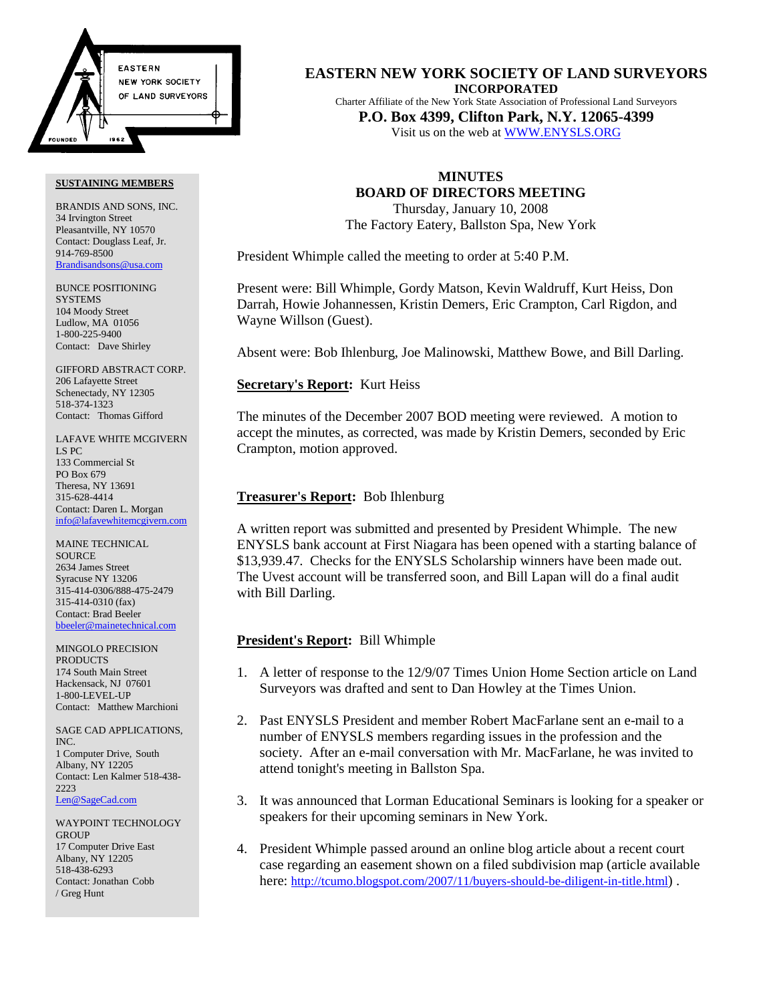

BRANDIS AND SONS, INC. 34 Irvington Street Pleasantville, NY 10570 Contact: Douglass Leaf, Jr. 914-769-8500 Brandisandsons@usa.com

BUNCE POSITIONING **SYSTEMS** 104 Moody Street Ludlow, MA 01056 1-800-225-9400 Contact: Dave Shirley

GIFFORD ABSTRACT CORP. 206 Lafayette Street Schenectady, NY 12305 518-374-1323 Contact: Thomas Gifford

LAFAVE WHITE MCGIVERN LS PC 133 Commercial St PO Box 679 Theresa, NY 13691 315-628-4414 Contact: Daren L. Morgan info@lafavewhitemcgivern.com

MAINE TECHNICAL **SOURCE** 2634 James Street Syracuse NY 13206 315-414-0306/888-475-2479 315-414-0310 (fax) Contact: Brad Beeler bbeeler@mainetechnical.com

MINGOLO PRECISION PRODUCTS 174 South Main Street Hackensack, NJ 07601 1-800-LEVEL-UP Contact: Matthew Marchioni

SAGE CAD APPLICATIONS, INC. 1 Computer Drive, South Albany, NY 12205 Contact: Len Kalmer 518-438- 2223 Len@SageCad.com

WAYPOINT TECHNOLOGY **GROUP** 17 Computer Drive East Albany, NY 12205 518-438-6293 Contact: Jonathan Cobb / Greg Hunt

**EASTERN NEW YORK SOCIETY OF LAND SURVEYORS INCORPORATED** Charter Affiliate of the New York State Association of Professional Land Surveyors **P.O. Box 4399, Clifton Park, N.Y. 12065-4399**

Visit us on the web at WWW.ENYSLS.ORG

# **MINUTES BOARD OF DIRECTORS MEETING**

Thursday, January 10, 2008 The Factory Eatery, Ballston Spa, New York

President Whimple called the meeting to order at 5:40 P.M.

Present were: Bill Whimple, Gordy Matson, Kevin Waldruff, Kurt Heiss, Don Darrah, Howie Johannessen, Kristin Demers, Eric Crampton, Carl Rigdon, and Wayne Willson (Guest).

Absent were: Bob Ihlenburg, Joe Malinowski, Matthew Bowe, and Bill Darling.

## **Secretary's Report:** Kurt Heiss

The minutes of the December 2007 BOD meeting were reviewed. A motion to accept the minutes, as corrected, was made by Kristin Demers, seconded by Eric Crampton, motion approved.

### **Treasurer's Report:** Bob Ihlenburg

A written report was submitted and presented by President Whimple. The new ENYSLS bank account at First Niagara has been opened with a starting balance of \$13,939.47. Checks for the ENYSLS Scholarship winners have been made out. The Uvest account will be transferred soon, and Bill Lapan will do a final audit with Bill Darling.

## **President's Report:** Bill Whimple

- 1. A letter of response to the 12/9/07 Times Union Home Section article on Land Surveyors was drafted and sent to Dan Howley at the Times Union.
- 2. Past ENYSLS President and member Robert MacFarlane sent an e-mail to a number of ENYSLS members regarding issues in the profession and the society. After an e-mail conversation with Mr. MacFarlane, he was invited to attend tonight's meeting in Ballston Spa.
- 3. It was announced that Lorman Educational Seminars is looking for a speaker or speakers for their upcoming seminars in New York.
- 4. President Whimple passed around an online blog article about a recent court case regarding an easement shown on a filed subdivision map (article available here: [http://tcumo.blogspot.com/2007/11/buyers-should-be-diligent-in-title.html\)](http://tcumo.blogspot.com/2007/11/buyers-should-be-diligent-in-title.html) .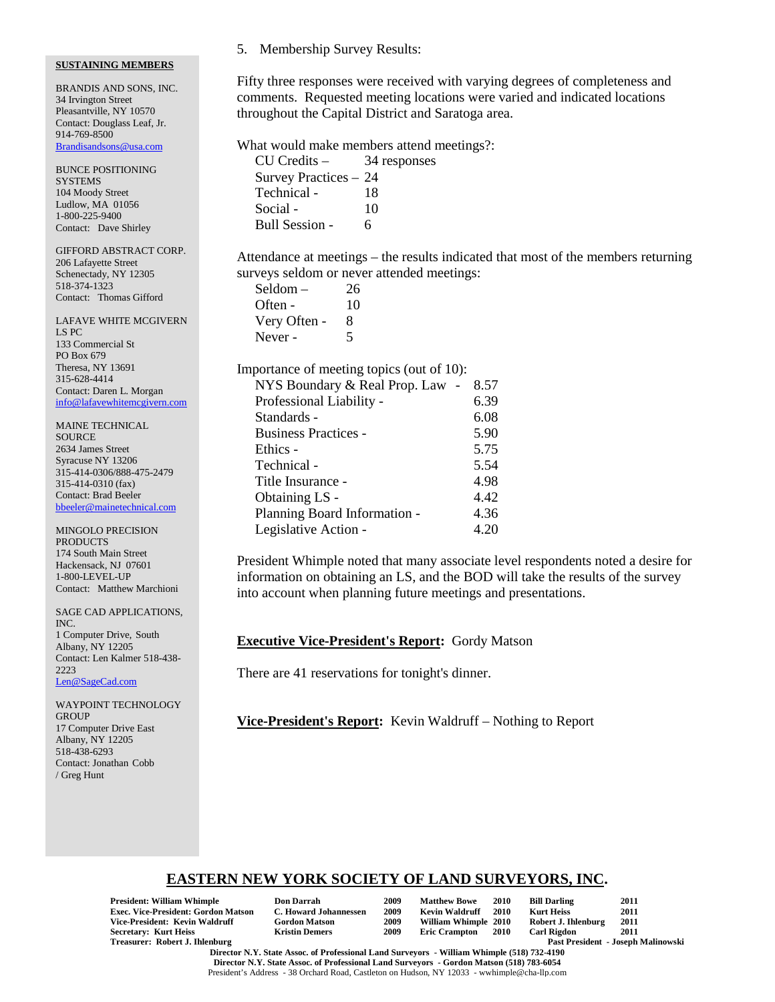BRANDIS AND SONS, INC. 34 Irvington Street Pleasantville, NY 10570 Contact: Douglass Leaf, Jr. 914-769-8500 Brandisandsons@usa.com

BUNCE POSITIONING **SYSTEMS** 104 Moody Street Ludlow, MA 01056 1-800-225-9400 Contact: Dave Shirley

GIFFORD ABSTRACT CORP. 206 Lafayette Street Schenectady, NY 12305 518-374-1323 Contact: Thomas Gifford

LAFAVE WHITE MCGIVERN LS PC 133 Commercial St PO Box 679 Theresa, NY 13691 315-628-4414 Contact: Daren L. Morgan info@lafavewhitemcgivern.com

MAINE TECHNICAL **SOURCE** 2634 James Street Syracuse NY 13206 315-414-0306/888-475-2479 315-414-0310 (fax) Contact: Brad Beeler bbeeler@mainetechnical.com

MINGOLO PRECISION PRODUCTS 174 South Main Street Hackensack, NJ 07601 1-800-LEVEL-UP Contact: Matthew Marchioni

SAGE CAD APPLICATIONS, INC. 1 Computer Drive, South Albany, NY 12205 Contact: Len Kalmer 518-438- 2223 Len@SageCad.com

WAYPOINT TECHNOLOGY **GROUP** 17 Computer Drive East Albany, NY 12205 518-438-6293 Contact: Jonathan Cobb / Greg Hunt

## 5. Membership Survey Results:

Fifty three responses were received with varying degrees of completeness and comments. Requested meeting locations were varied and indicated locations throughout the Capital District and Saratoga area.

What would make members attend meetings?:

| CU Credits –          | 34 responses |
|-----------------------|--------------|
| Survey Practices - 24 |              |
| Technical -           | 18           |
| Social -              | 10           |
| Bull Session -        | 6            |

Attendance at meetings – the results indicated that most of the members returning surveys seldom or never attended meetings:

| Seldom –     | 26 |
|--------------|----|
| Often -      | 10 |
| Very Often - | я  |
| Never -      | 5  |

Importance of meeting topics (out of 10):

| NYS Boundary & Real Prop. Law | 8.57 |
|-------------------------------|------|
| Professional Liability -      | 6.39 |
| Standards -                   | 6.08 |
| <b>Business Practices -</b>   | 5.90 |
| Ethics -                      | 5.75 |
| Technical -                   | 5.54 |
| Title Insurance -             | 4.98 |
| Obtaining LS -                | 4.42 |
| Planning Board Information -  | 4.36 |
| Legislative Action -          | 4.20 |

President Whimple noted that many associate level respondents noted a desire for information on obtaining an LS, and the BOD will take the results of the survey into account when planning future meetings and presentations.

# **Executive Vice-President's Report:** Gordy Matson

There are 41 reservations for tonight's dinner.

**Vice-President's Report:** Kevin Waldruff – Nothing to Report

# **EASTERN NEW YORK SOCIETY OF LAND SURVEYORS, INC.**

| <b>President: William Whimple</b>          | <b>Don Darrah</b>     | 2009 | <b>Matthew Bowe</b>  | <b>2010</b> | <b>Bill Darling</b> | 2011                                      |
|--------------------------------------------|-----------------------|------|----------------------|-------------|---------------------|-------------------------------------------|
| <b>Exec. Vice-President: Gordon Matson</b> | C. Howard Johannessen | 2009 | Kevin Waldruff       | 2010        | <b>Kurt Heiss</b>   | 2011                                      |
| Vice-President: Kevin Waldruff             | <b>Gordon Matson</b>  | 2009 | William Whimple 2010 |             | Robert J. Ihlenburg | 2011                                      |
| <b>Secretary: Kurt Heiss</b>               | <b>Kristin Demers</b> | 2009 | <b>Eric Crampton</b> | 2010        | <b>Carl Rigdon</b>  | 2011                                      |
| Treasurer: Robert J. Ihlenburg             |                       |      |                      |             |                     | <b>Past President - Joseph Malinowski</b> |

**Director N.Y. State Assoc. of Professional Land Surveyors - William Whimple (518) 732-4190 Director N.Y. State Assoc. of Professional Land Surveyors - Gordon Matson (518) 783-6054** President's Address - 38 Orchard Road, Castleton on Hudson, NY 12033 - wwhimple@cha-llp.com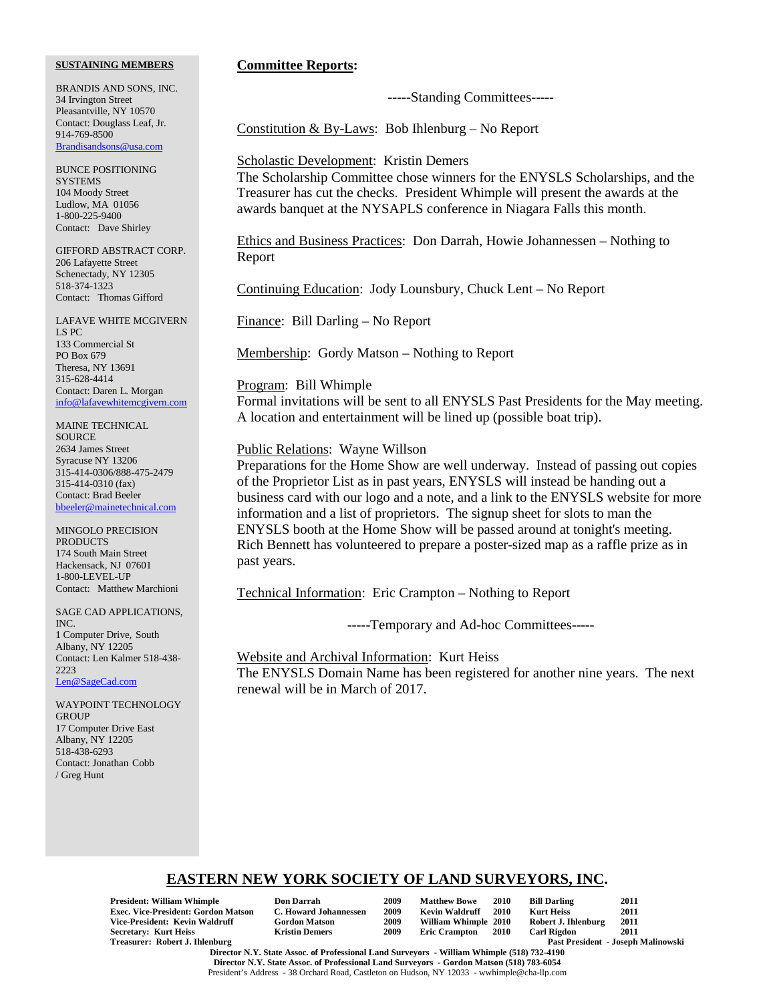BRANDIS AND SONS, INC. 34 Irvington Street Pleasantville, NY 10570 Contact: Douglass Leaf, Jr. 914-769-8500 Brandisandsons@usa.com

BUNCE POSITIONING **SYSTEMS** 104 Moody Street Ludlow, MA 01056 1-800-225-9400 Contact: Dave Shirley

GIFFORD ABSTRACT CORP. 206 Lafayette Street Schenectady, NY 12305 518-374-1323 Contact: Thomas Gifford

LAFAVE WHITE MCGIVERN LS PC 133 Commercial St PO Box 679 Theresa, NY 13691 315-628-4414 Contact: Daren L. Morgan info@lafavewhitemcgivern.com

MAINE TECHNICAL **SOURCE** 2634 James Street Syracuse NY 13206 315-414-0306/888-475-2479 315-414-0310 (fax) Contact: Brad Beeler bbeeler@mainetechnical.com

MINGOLO PRECISION PRODUCTS 174 South Main Street Hackensack, NJ 07601 1-800-LEVEL-UP Contact: Matthew Marchioni

SAGE CAD APPLICATIONS, INC. 1 Computer Drive, South Albany, NY 12205 Contact: Len Kalmer 518-438- 2223 Len@SageCad.com

WAYPOINT TECHNOLOGY **GROUP** 17 Computer Drive East Albany, NY 12205 518-438-6293 Contact: Jonathan Cobb / Greg Hunt

### **Committee Reports:**

-----Standing Committees-----

Constitution & By-Laws: Bob Ihlenburg – No Report

### Scholastic Development: Kristin Demers

The Scholarship Committee chose winners for the ENYSLS Scholarships, and the Treasurer has cut the checks. President Whimple will present the awards at the awards banquet at the NYSAPLS conference in Niagara Falls this month.

Ethics and Business Practices: Don Darrah, Howie Johannessen – Nothing to Report

Continuing Education: Jody Lounsbury, Chuck Lent – No Report

Finance: Bill Darling – No Report

Membership: Gordy Matson – Nothing to Report

#### Program: Bill Whimple

Formal invitations will be sent to all ENYSLS Past Presidents for the May meeting. A location and entertainment will be lined up (possible boat trip).

#### Public Relations: Wayne Willson

Preparations for the Home Show are well underway. Instead of passing out copies of the Proprietor List as in past years, ENYSLS will instead be handing out a business card with our logo and a note, and a link to the ENYSLS website for more information and a list of proprietors. The signup sheet for slots to man the ENYSLS booth at the Home Show will be passed around at tonight's meeting. Rich Bennett has volunteered to prepare a poster-sized map as a raffle prize as in past years.

Technical Information: Eric Crampton – Nothing to Report

-----Temporary and Ad-hoc Committees-----

Website and Archival Information: Kurt Heiss The ENYSLS Domain Name has been registered for another nine years. The next renewal will be in March of 2017.

# **EASTERN NEW YORK SOCIETY OF LAND SURVEYORS, INC.**

**President: William Whimple Don Darrah 2009 Matthew Bowe 2010 Bill Darling 2011** Exec. Vice-President: Gordon Matson C. Howard Johannessen 2009 Kevin Waldruff 2010 **Vice-President: Kevin Waldruff Gordon Matson 2009 William Whimple 2010 Robert J. Ihlenburg 2011 Secretary: Kurt Heiss<br>Treasurer: Robert J. Ihlenburg** 

| Don Darrah                 |
|----------------------------|
| <b>C. Howard Johanness</b> |
| <b>Gordon Matson</b>       |
| <b>Kristin Demers</b>      |

Past President - Joseph Malinowski

**Director N.Y. State Assoc. of Professional Land Surveyors - William Whimple (518) 732-4190 Director N.Y. State Assoc. of Professional Land Surveyors - Gordon Matson (518) 783-6054** President's Address - 38 Orchard Road, Castleton on Hudson, NY 12033 - wwhimple@cha-llp.com